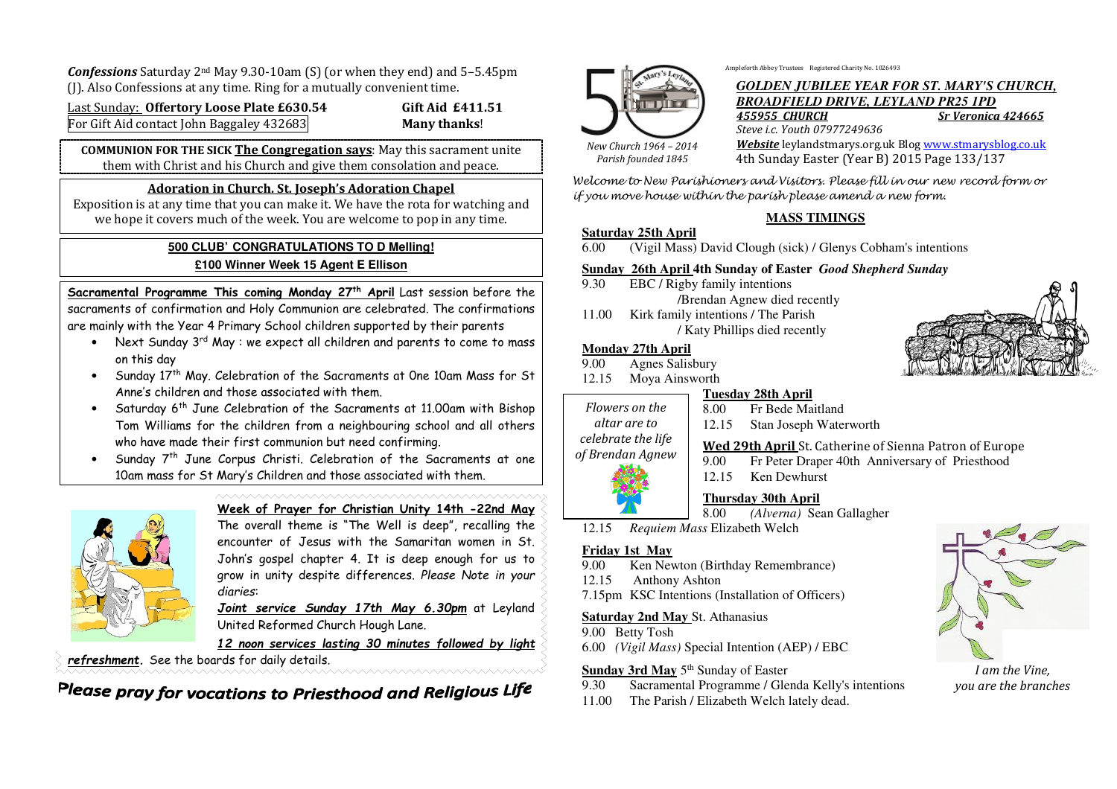*Confessions* Saturday 2nd May 9.30-10am (S) (or when they end) and 5–5.45pm (J). Also Confessions at any time. Ring for a mutually convenient time.

Last Sunday: **Offertory Loose Plate £630.54 Gift Aid £411.51** For Gift Aid contact John Baggaley 432683 **Many thanks**!

**COMMUNION FOR THE SICK The Congregation says**: May this sacrament unite them with Christ and his Church and give them consolation and peace.

#### **Adoration in Church. St. Joseph's Adoration Chapel**

 Exposition is at any time that you can make it. We have the rota for watching and we hope it covers much of the week. You are welcome to pop in any time.

### **500 CLUB' CONGRATULATIONS TO D Melling! £100 Winner Week 15 Agent E Ellison**

**Sacramental Programme This coming Monday 27th April** Last session before the sacraments of confirmation and Holy Communion are celebrated. The confirmations are mainly with the Year 4 Primary School children supported by their parents

- Next Sunday  $3^{\text{rd}}$  May : we expect all children and parents to come to mass on this day
- Sunday 17<sup>th</sup> May. Celebration of the Sacraments at One 10am Mass for St •Anne's children and those associated with them.
- $\bullet$  Saturday 6<sup>th</sup> June Celebration of the Sacraments at 11.00am with Bishop •Tom Williams for the children from a neighbouring school and all others who have made their first communion but need confirming.

• Sunday 7<sup>th</sup> June Corpus Christi. Celebration of the Sacraments at one •10am mass for St Mary's Children and those associated with them.



# **Week of Prayer for Christian Unity 14th -22nd May**

 The overall theme is "The Well is deep", recalling the encounter of Jesus with the Samaritan women in St. John's gospel chapter 4. It is deep enough for us to grow in unity despite differences. *Please Note in your diaries*:

*Joint service Sunday 17th May 6.30pm* at Leyland United Reformed Church Hough Lane.

*12 noon services lasting 30 minutes followed by light* 

*refreshment.* See the boards for daily details.

Please pray for vocations to Priesthood and Religious Life



Ampleforth Abbey Trustees Registered Charity No. 1026493

# *GOLDEN JUBILEE YEAR FOR ST. MARY'S CHURCH, BROADFIELD DRIVE, LEYLAND PR25 1PD Sr Veronica 424665 455955 CHURCH*

*New Church 1964 – 2014 Parish founded 1845* 

*Steve i.c. Youth 07977249636 Website* leylandstmarys.org.uk Blog www.stmarysblog.co.uk4th Sunday Easter (Year B) 2015 Page 133/137

Welcome to New Parishioners and Visitors. Please fill in our new record form or if you move house within the parish please amend a new form.

# **MASS TIMINGS**

### **Saturday 25th April**

6.00 (Vigil Mass) David Clough (sick) / Glenys Cobham's intentions

# **Sunday 26th April 4th Sunday of Easter** *Good Shepherd Sunday*

- 9.30 EBC / Rigby family intentions /Brendan Agnew died recently
- 11.00 Kirk family intentions / The Parish
	- / Katy Phillips died recently

# **Monday 27th April**

- 9.00 Agnes Salisbury
- 12.15 Moya Ainsworth

#### **Tuesday 28th April**

*Flowers on the altar are to celebrate the life* 

 8.00 Fr Bede Maitland 12.15 Stan Joseph Waterworth

**Wed 29th April** St. Catherine of Sienna Patron of Europe

9.00 Fr Peter Draper 40th Anniversary of Priesthood 12.15 Ken Dewhurst

# **Thursday 30th April**

- 8.00 *(Alverna)* Sean Gallagher
- 12.15*Requiem Mass* Elizabeth Welch

# **Friday 1st May**

*of Brendan Agnew* 

- 9.00 Ken Newton (Birthday Remembrance)
- 12.15 Anthony Ashton
- 7.15pm KSC Intentions (Installation of Officers)

# **Saturday 2nd May** St. Athanasius

9.00 Betty Tosh

6.00 *(Vigil Mass)* Special Intention (AEP) / EBC

# **Sunday 3rd May** 5<sup>th</sup> Sunday of Easter

- 9.30 Sacramental Programme / Glenda Kelly's intentions
- 11.00 The Parish / Elizabeth Welch lately dead.



*I am the Vine, you are the branches*